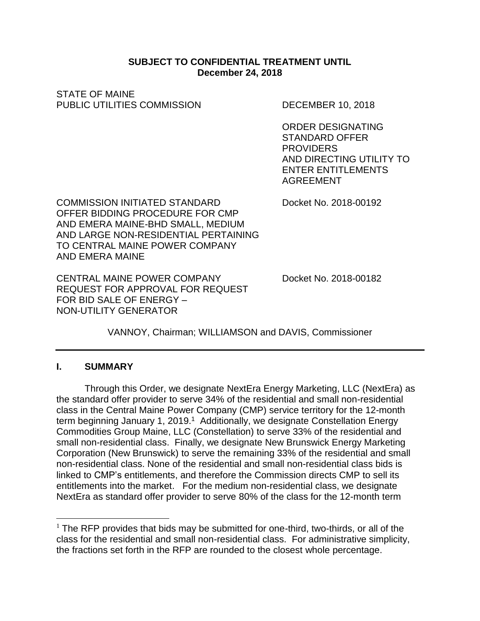#### **SUBJECT TO CONFIDENTIAL TREATMENT UNTIL December 24, 2018**

STATE OF MAINE PUBLIC UTILITIES COMMISSION DECEMBER 10, 2018

ORDER DESIGNATING STANDARD OFFER **PROVIDERS** AND DIRECTING UTILITY TO ENTER ENTITLEMENTS AGREEMENT

COMMISSION INITIATED STANDARD Docket No. 2018-00192 OFFER BIDDING PROCEDURE FOR CMP AND EMERA MAINE-BHD SMALL, MEDIUM AND LARGE NON-RESIDENTIAL PERTAINING TO CENTRAL MAINE POWER COMPANY AND EMERA MAINE

CENTRAL MAINE POWER COMPANY Docket No. 2018-00182 REQUEST FOR APPROVAL FOR REQUEST FOR BID SALE OF ENERGY – NON-UTILITY GENERATOR

VANNOY, Chairman; WILLIAMSON and DAVIS, Commissioner

### **I. SUMMARY**

 $\overline{a}$ 

Through this Order, we designate NextEra Energy Marketing, LLC (NextEra) as the standard offer provider to serve 34% of the residential and small non-residential class in the Central Maine Power Company (CMP) service territory for the 12-month term beginning January 1, 2019.<sup>1</sup> Additionally, we designate Constellation Energy Commodities Group Maine, LLC (Constellation) to serve 33% of the residential and small non-residential class. Finally, we designate New Brunswick Energy Marketing Corporation (New Brunswick) to serve the remaining 33% of the residential and small non-residential class. None of the residential and small non-residential class bids is linked to CMP's entitlements, and therefore the Commission directs CMP to sell its entitlements into the market. For the medium non-residential class, we designate NextEra as standard offer provider to serve 80% of the class for the 12-month term

 $<sup>1</sup>$  The RFP provides that bids may be submitted for one-third, two-thirds, or all of the</sup> class for the residential and small non-residential class. For administrative simplicity, the fractions set forth in the RFP are rounded to the closest whole percentage.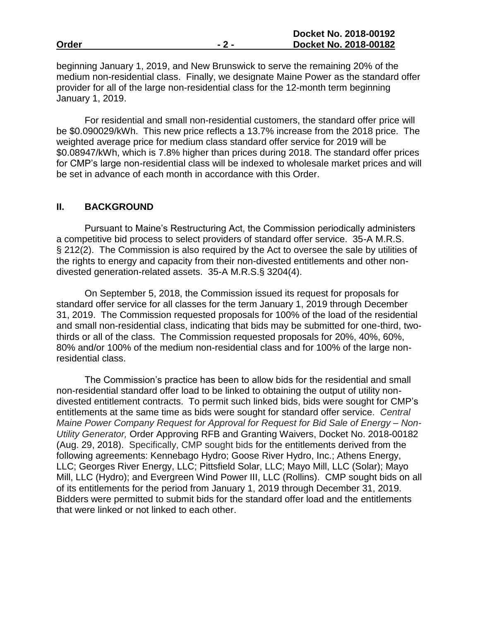beginning January 1, 2019, and New Brunswick to serve the remaining 20% of the medium non-residential class. Finally, we designate Maine Power as the standard offer provider for all of the large non-residential class for the 12-month term beginning January 1, 2019.

For residential and small non-residential customers, the standard offer price will be \$0.090029/kWh. This new price reflects a 13.7% increase from the 2018 price. The weighted average price for medium class standard offer service for 2019 will be \$0.08947/kWh, which is 7.8% higher than prices during 2018. The standard offer prices for CMP's large non-residential class will be indexed to wholesale market prices and will be set in advance of each month in accordance with this Order.

#### **II. BACKGROUND**

Pursuant to Maine's Restructuring Act, the Commission periodically administers a competitive bid process to select providers of standard offer service. 35-A M.R.S. § 212(2). The Commission is also required by the Act to oversee the sale by utilities of the rights to energy and capacity from their non-divested entitlements and other nondivested generation-related assets. 35-A M.R.S.§ 3204(4).

On September 5, 2018, the Commission issued its request for proposals for standard offer service for all classes for the term January 1, 2019 through December 31, 2019. The Commission requested proposals for 100% of the load of the residential and small non-residential class, indicating that bids may be submitted for one-third, twothirds or all of the class. The Commission requested proposals for 20%, 40%, 60%, 80% and/or 100% of the medium non-residential class and for 100% of the large nonresidential class.

The Commission's practice has been to allow bids for the residential and small non-residential standard offer load to be linked to obtaining the output of utility nondivested entitlement contracts. To permit such linked bids, bids were sought for CMP's entitlements at the same time as bids were sought for standard offer service. *Central Maine Power Company Request for Approval for Request for Bid Sale of Energy – Non-Utility Generator,* Order Approving RFB and Granting Waivers, Docket No. 2018-00182 (Aug. 29, 2018). Specifically, CMP sought bids for the entitlements derived from the following agreements: Kennebago Hydro; Goose River Hydro, Inc.; Athens Energy, LLC; Georges River Energy, LLC; Pittsfield Solar, LLC; Mayo Mill, LLC (Solar); Mayo Mill, LLC (Hydro); and Evergreen Wind Power III, LLC (Rollins). CMP sought bids on all of its entitlements for the period from January 1, 2019 through December 31, 2019. Bidders were permitted to submit bids for the standard offer load and the entitlements that were linked or not linked to each other.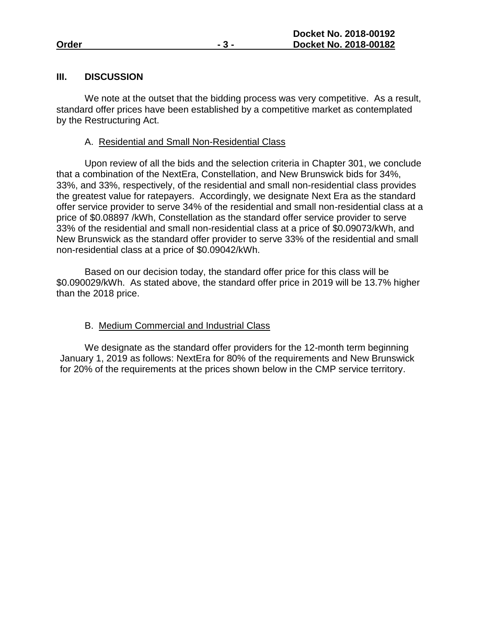#### **III. DISCUSSION**

We note at the outset that the bidding process was very competitive. As a result, standard offer prices have been established by a competitive market as contemplated by the Restructuring Act.

#### A. Residential and Small Non-Residential Class

Upon review of all the bids and the selection criteria in Chapter 301, we conclude that a combination of the NextEra, Constellation, and New Brunswick bids for 34%, 33%, and 33%, respectively, of the residential and small non-residential class provides the greatest value for ratepayers. Accordingly, we designate Next Era as the standard offer service provider to serve 34% of the residential and small non-residential class at a price of \$0.08897 /kWh, Constellation as the standard offer service provider to serve 33% of the residential and small non-residential class at a price of \$0.09073/kWh, and New Brunswick as the standard offer provider to serve 33% of the residential and small non-residential class at a price of \$0.09042/kWh.

Based on our decision today, the standard offer price for this class will be \$0.090029/kWh. As stated above, the standard offer price in 2019 will be 13.7% higher than the 2018 price.

### B. Medium Commercial and Industrial Class

We designate as the standard offer providers for the 12-month term beginning January 1, 2019 as follows: NextEra for 80% of the requirements and New Brunswick for 20% of the requirements at the prices shown below in the CMP service territory.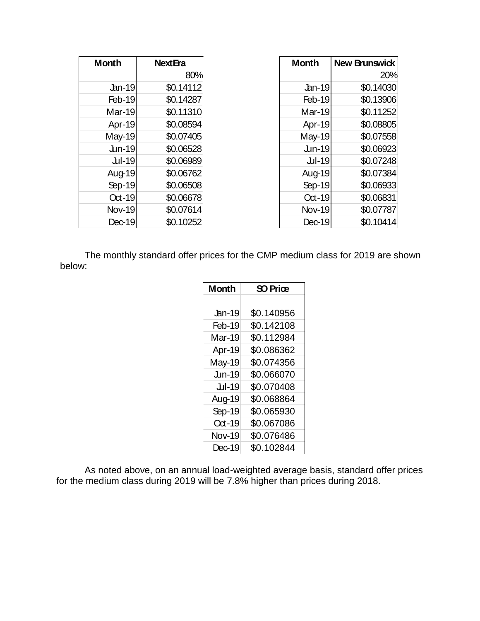| <b>Month</b>    | <b>Next Era</b> | <b>Month</b>  | <b>New Brunswick</b> |
|-----------------|-----------------|---------------|----------------------|
|                 | 80%             |               | 20%                  |
| $\lfloor$ an-19 | \$0.14112       | $\Delta$ n-19 | \$0.14030            |
| Feb-19          | \$0.14287       | Feb-19        | \$0.13906            |
| Mar-19          | \$0.11310       | Mar-19        | \$0.11252            |
| Apr-19          | \$0.08594       | Apr-19        | \$0.08805            |
| <b>May-19</b>   | \$0.07405       | May-19        | \$0.07558            |
| $Un-19$         | \$0.06528       | $Un-19$       | \$0.06923            |
| Jul-19          | \$0.06989       | Jul-19        | \$0.07248            |
| Aug-19          | \$0.06762       | Aug-19        | \$0.07384            |
| Sep-19          | \$0.06508       | Sep-19        | \$0.06933            |
| $Oct-19$        | \$0.06678       | $Oct-19$      | \$0.06831            |
| <b>Nov-19</b>   | \$0.07614       | <b>Nov-19</b> | \$0.07787            |
| $Dec-19$        | \$0.10252       | Dec-19        | \$0.10414            |

The monthly standard offer prices for the CMP medium class for 2019 are shown below:

| <b>Month</b>  | SO Priœ    |  |
|---------------|------------|--|
|               |            |  |
| <b>Jan-19</b> | \$0.140956 |  |
| Feb-19        | \$0.142108 |  |
| Mar-19        | \$0.112984 |  |
| Apr-19        | \$0.086362 |  |
| May-19        | \$0.074356 |  |
| $Jun-19$      | \$0.066070 |  |
| Jul-19        | \$0.070408 |  |
| Aug-19        | \$0.068864 |  |
| Sep-19        | \$0.065930 |  |
| $Oct-19$      | \$0.067086 |  |
| <b>Nov-19</b> | \$0.076486 |  |
| $Dec-19$      | \$0.102844 |  |

As noted above, on an annual load-weighted average basis, standard offer prices for the medium class during 2019 will be 7.8% higher than prices during 2018.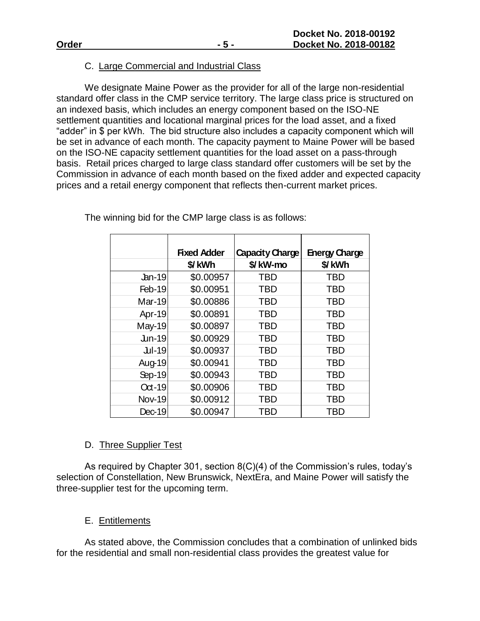### C. Large Commercial and Industrial Class

We designate Maine Power as the provider for all of the large non-residential standard offer class in the CMP service territory. The large class price is structured on an indexed basis, which includes an energy component based on the ISO-NE settlement quantities and locational marginal prices for the load asset, and a fixed "adder" in \$ per kWh. The bid structure also includes a capacity component which will be set in advance of each month. The capacity payment to Maine Power will be based on the ISO-NE capacity settlement quantities for the load asset on a pass-through basis. Retail prices charged to large class standard offer customers will be set by the Commission in advance of each month based on the fixed adder and expected capacity prices and a retail energy component that reflects then-current market prices.

|               | <b>Fixed Adder</b> | <b>Capacity Charge</b> | <b>Energy Charge</b> |
|---------------|--------------------|------------------------|----------------------|
|               | \$/kWh             | \$/kW-mo               | \$/kWh               |
| $An-19$       | \$0.00957          | <b>TBD</b>             | TBD                  |
| Feb-19        | \$0.00951          | <b>TBD</b>             | <b>TBD</b>           |
| $Mar-19$      | \$0.00886          | <b>TBD</b>             | <b>TBD</b>           |
| Apr-19        | \$0.00891          | <b>TBD</b>             | <b>TBD</b>           |
| <b>May-19</b> | \$0.00897          | <b>TBD</b>             | <b>TBD</b>           |
| $Jun-19$      | \$0.00929          | <b>TBD</b>             | <b>TBD</b>           |
| Jul-19        | \$0.00937          | <b>TBD</b>             | <b>TBD</b>           |
| Aug-19        | \$0.00941          | <b>TBD</b>             | <b>TBD</b>           |
| Sep-19        | \$0.00943          | <b>TBD</b>             | <b>TBD</b>           |
| $Oct-19$      | \$0.00906          | <b>TBD</b>             | <b>TBD</b>           |
| <b>Nov-19</b> | \$0.00912          | <b>TBD</b>             | <b>TBD</b>           |
| $Dec-19$      | \$0.00947          | <b>TBD</b>             | TBD                  |

The winning bid for the CMP large class is as follows:

### D. Three Supplier Test

As required by Chapter 301, section 8(C)(4) of the Commission's rules, today's selection of Constellation, New Brunswick, NextEra, and Maine Power will satisfy the three-supplier test for the upcoming term.

# E. Entitlements

As stated above, the Commission concludes that a combination of unlinked bids for the residential and small non-residential class provides the greatest value for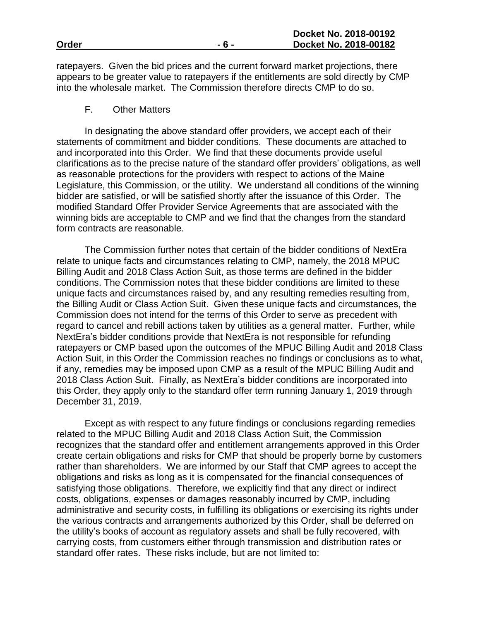ratepayers. Given the bid prices and the current forward market projections, there appears to be greater value to ratepayers if the entitlements are sold directly by CMP into the wholesale market. The Commission therefore directs CMP to do so.

#### F. Other Matters

In designating the above standard offer providers, we accept each of their statements of commitment and bidder conditions. These documents are attached to and incorporated into this Order. We find that these documents provide useful clarifications as to the precise nature of the standard offer providers' obligations, as well as reasonable protections for the providers with respect to actions of the Maine Legislature, this Commission, or the utility. We understand all conditions of the winning bidder are satisfied, or will be satisfied shortly after the issuance of this Order. The modified Standard Offer Provider Service Agreements that are associated with the winning bids are acceptable to CMP and we find that the changes from the standard form contracts are reasonable.

The Commission further notes that certain of the bidder conditions of NextEra relate to unique facts and circumstances relating to CMP, namely, the 2018 MPUC Billing Audit and 2018 Class Action Suit, as those terms are defined in the bidder conditions. The Commission notes that these bidder conditions are limited to these unique facts and circumstances raised by, and any resulting remedies resulting from, the Billing Audit or Class Action Suit. Given these unique facts and circumstances, the Commission does not intend for the terms of this Order to serve as precedent with regard to cancel and rebill actions taken by utilities as a general matter. Further, while NextEra's bidder conditions provide that NextEra is not responsible for refunding ratepayers or CMP based upon the outcomes of the MPUC Billing Audit and 2018 Class Action Suit, in this Order the Commission reaches no findings or conclusions as to what, if any, remedies may be imposed upon CMP as a result of the MPUC Billing Audit and 2018 Class Action Suit. Finally, as NextEra's bidder conditions are incorporated into this Order, they apply only to the standard offer term running January 1, 2019 through December 31, 2019.

Except as with respect to any future findings or conclusions regarding remedies related to the MPUC Billing Audit and 2018 Class Action Suit, the Commission recognizes that the standard offer and entitlement arrangements approved in this Order create certain obligations and risks for CMP that should be properly borne by customers rather than shareholders. We are informed by our Staff that CMP agrees to accept the obligations and risks as long as it is compensated for the financial consequences of satisfying those obligations. Therefore, we explicitly find that any direct or indirect costs, obligations, expenses or damages reasonably incurred by CMP, including administrative and security costs, in fulfilling its obligations or exercising its rights under the various contracts and arrangements authorized by this Order, shall be deferred on the utility's books of account as regulatory assets and shall be fully recovered, with carrying costs, from customers either through transmission and distribution rates or standard offer rates. These risks include, but are not limited to: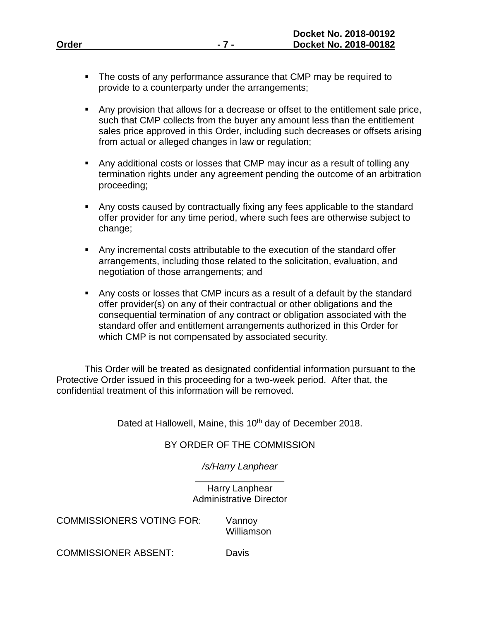|       | Docket No. 2018-00192 |
|-------|-----------------------|
| Order | Docket No. 2018-00182 |
|       |                       |

- The costs of any performance assurance that CMP may be required to provide to a counterparty under the arrangements;
- Any provision that allows for a decrease or offset to the entitlement sale price, such that CMP collects from the buyer any amount less than the entitlement sales price approved in this Order, including such decreases or offsets arising from actual or alleged changes in law or regulation;
- Any additional costs or losses that CMP may incur as a result of tolling any termination rights under any agreement pending the outcome of an arbitration proceeding;
- Any costs caused by contractually fixing any fees applicable to the standard offer provider for any time period, where such fees are otherwise subject to change;
- Any incremental costs attributable to the execution of the standard offer arrangements, including those related to the solicitation, evaluation, and negotiation of those arrangements; and
- Any costs or losses that CMP incurs as a result of a default by the standard offer provider(s) on any of their contractual or other obligations and the consequential termination of any contract or obligation associated with the standard offer and entitlement arrangements authorized in this Order for which CMP is not compensated by associated security.

This Order will be treated as designated confidential information pursuant to the Protective Order issued in this proceeding for a two-week period. After that, the confidential treatment of this information will be removed.

Dated at Hallowell, Maine, this 10<sup>th</sup> day of December 2018.

# BY ORDER OF THE COMMISSION

*/s/Harry Lanphear* \_\_\_\_\_\_\_\_\_\_\_\_\_\_\_\_\_

Harry Lanphear Administrative Director

COMMISSIONERS VOTING FOR: Vannoy

Williamson

COMMISSIONER ABSENT: Davis